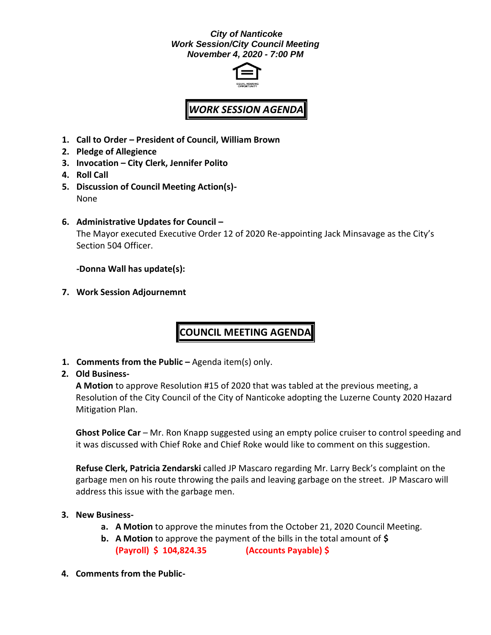## *City of Nanticoke Work Session/City Council Meeting November 4, 2020 - 7:00 PM*



# *WORK SESSION AGENDA*

- **1. Call to Order – President of Council, William Brown**
- **2. Pledge of Allegience**
- **3. Invocation – City Clerk, Jennifer Polito**
- **4. Roll Call**
- **5. Discussion of Council Meeting Action(s)-** None
- **6. Administrative Updates for Council –**

The Mayor executed Executive Order 12 of 2020 Re-appointing Jack Minsavage as the City's Section 504 Officer.

**-Donna Wall has update(s):**

**7. Work Session Adjournemnt**

# **COUNCIL MEETING AGENDA**

**1. Comments from the Public –** Agenda item(s) only.

# **2. Old Business-**

**A Motion** to approve Resolution #15 of 2020 that was tabled at the previous meeting, a Resolution of the City Council of the City of Nanticoke adopting the Luzerne County 2020 Hazard Mitigation Plan.

**Ghost Police Car** – Mr. Ron Knapp suggested using an empty police cruiser to control speeding and it was discussed with Chief Roke and Chief Roke would like to comment on this suggestion.

**Refuse Clerk, Patricia Zendarski** called JP Mascaro regarding Mr. Larry Beck's complaint on the garbage men on his route throwing the pails and leaving garbage on the street. JP Mascaro will address this issue with the garbage men.

### **3. New Business-**

- **a. A Motion** to approve the minutes from the October 21, 2020 Council Meeting.
- **b. A Motion** to approve the payment of the bills in the total amount of **\$ (Payroll) \$ 104,824.35 (Accounts Payable) \$**
- **4. Comments from the Public-**